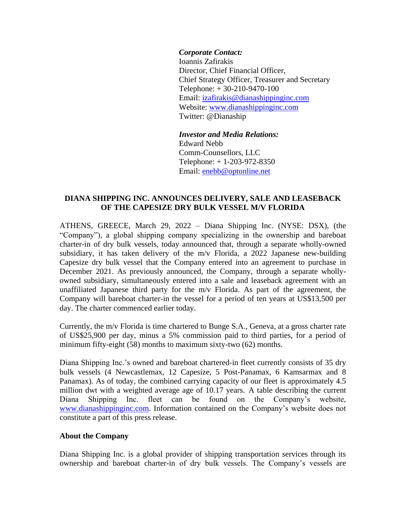## *Corporate Contact:*

Ioannis Zafirakis Director, Chief Financial Officer, Chief Strategy Officer, Treasurer and Secretary Telephone: + 30-210-9470-100 Email: [izafirakis@dianashippinginc.com](mailto:izafirakis@dianashippinginc.com) Website: [www.dianashippinginc.com](http://www.dianashippinginc.com/) Twitter: @Dianaship

*Investor and Media Relations:* Edward Nebb Comm-Counsellors, LLC Telephone: + 1-203-972-8350 Email: enebb@optonline.net

## **DIANA SHIPPING INC. ANNOUNCES DELIVERY, SALE AND LEASEBACK OF THE CAPESIZE DRY BULK VESSEL M/V FLORIDA**

ATHENS, GREECE, March 29, 2022 – Diana Shipping Inc. (NYSE: [DSX\)](http://studio.financialcontent.com/Engine?Account=prnewswire&PageName=QUOTE&Ticker=DSX), (the "Company"), a global shipping company specializing in the ownership and bareboat charter-in of dry bulk vessels, today announced that, through a separate wholly-owned subsidiary, it has taken delivery of the m/v Florida, a 2022 Japanese new-building Capesize dry bulk vessel that the Company entered into an agreement to purchase in December 2021. As previously announced, the Company, through a separate whollyowned subsidiary, simultaneously entered into a sale and leaseback agreement with an unaffiliated Japanese third party for the m/v Florida. As part of the agreement, the Company will bareboat charter-in the vessel for a period of ten years at US\$13,500 per day. The charter commenced earlier today.

Currently, the m/v Florida is time chartered to Bunge S.A., Geneva, at a gross charter rate of US\$25,900 per day, minus a 5% commission paid to third parties, for a period of minimum fifty-eight (58) months to maximum sixty-two (62) months.

Diana Shipping Inc.'s owned and bareboat chartered-in fleet currently consists of 35 dry bulk vessels (4 Newcastlemax, 12 Capesize, 5 Post-Panamax, 6 Kamsarmax and 8 Panamax). As of today, the combined carrying capacity of our fleet is approximately 4.5 million dwt with a weighted average age of 10.17 years. A table describing the current Diana Shipping Inc. fleet can be found on the Company's website, [www.dianashippinginc.com.](http://www.dianashippinginc.com/) Information contained on the Company's website does not constitute a part of this press release.

## **About the Company**

Diana Shipping Inc. is a global provider of shipping transportation services through its ownership and bareboat charter-in of dry bulk vessels. The Company's vessels are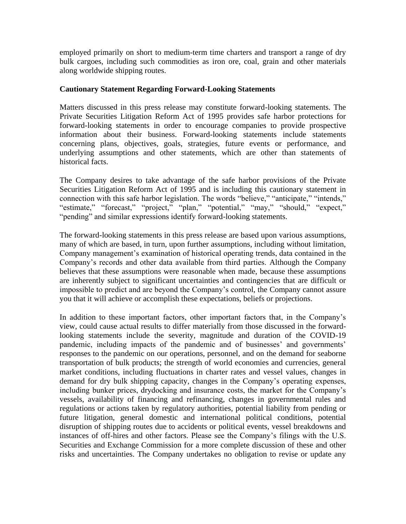employed primarily on short to medium-term time charters and transport a range of dry bulk cargoes, including such commodities as iron ore, coal, grain and other materials along worldwide shipping routes.

## **Cautionary Statement Regarding Forward-Looking Statements**

Matters discussed in this press release may constitute forward-looking statements. The Private Securities Litigation Reform Act of 1995 provides safe harbor protections for forward-looking statements in order to encourage companies to provide prospective information about their business. Forward-looking statements include statements concerning plans, objectives, goals, strategies, future events or performance, and underlying assumptions and other statements, which are other than statements of historical facts.

The Company desires to take advantage of the safe harbor provisions of the Private Securities Litigation Reform Act of 1995 and is including this cautionary statement in connection with this safe harbor legislation. The words "believe," "anticipate," "intends," "estimate," "forecast," "project," "plan," "potential," "may," "should," "expect," "pending" and similar expressions identify forward-looking statements.

The forward-looking statements in this press release are based upon various assumptions, many of which are based, in turn, upon further assumptions, including without limitation, Company management's examination of historical operating trends, data contained in the Company's records and other data available from third parties. Although the Company believes that these assumptions were reasonable when made, because these assumptions are inherently subject to significant uncertainties and contingencies that are difficult or impossible to predict and are beyond the Company's control, the Company cannot assure you that it will achieve or accomplish these expectations, beliefs or projections.

In addition to these important factors, other important factors that, in the Company's view, could cause actual results to differ materially from those discussed in the forwardlooking statements include the severity, magnitude and duration of the COVID-19 pandemic, including impacts of the pandemic and of businesses' and governments' responses to the pandemic on our operations, personnel, and on the demand for seaborne transportation of bulk products; the strength of world economies and currencies, general market conditions, including fluctuations in charter rates and vessel values, changes in demand for dry bulk shipping capacity, changes in the Company's operating expenses, including bunker prices, drydocking and insurance costs, the market for the Company's vessels, availability of financing and refinancing, changes in governmental rules and regulations or actions taken by regulatory authorities, potential liability from pending or future litigation, general domestic and international political conditions, potential disruption of shipping routes due to accidents or political events, vessel breakdowns and instances of off-hires and other factors. Please see the Company's filings with the U.S. Securities and Exchange Commission for a more complete discussion of these and other risks and uncertainties. The Company undertakes no obligation to revise or update any